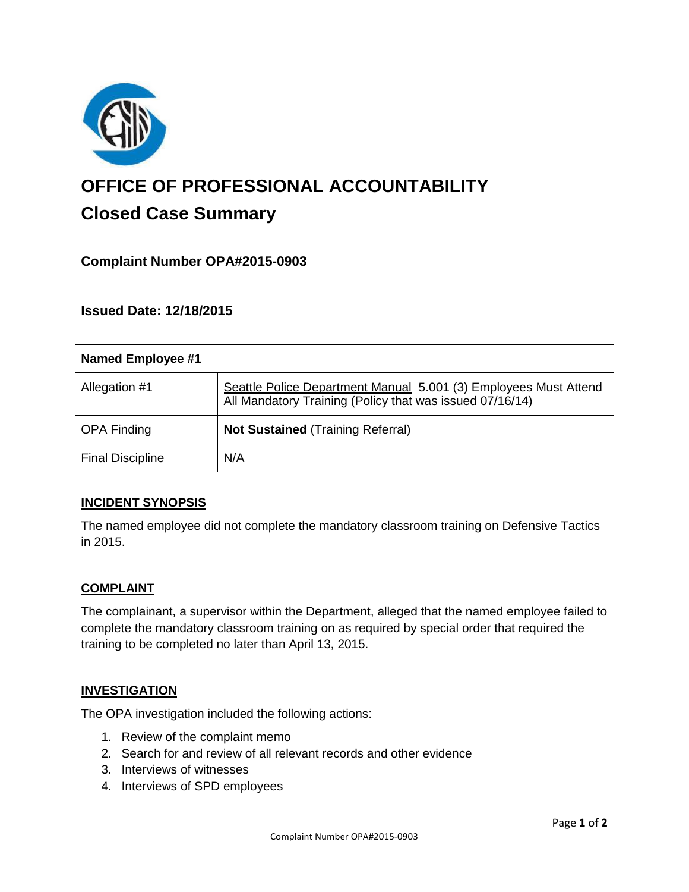

# **OFFICE OF PROFESSIONAL ACCOUNTABILITY Closed Case Summary**

# **Complaint Number OPA#2015-0903**

## **Issued Date: 12/18/2015**

| <b>Named Employee #1</b> |                                                                                                                              |
|--------------------------|------------------------------------------------------------------------------------------------------------------------------|
| Allegation #1            | Seattle Police Department Manual 5.001 (3) Employees Must Attend<br>All Mandatory Training (Policy that was issued 07/16/14) |
| <b>OPA Finding</b>       | <b>Not Sustained (Training Referral)</b>                                                                                     |
| <b>Final Discipline</b>  | N/A                                                                                                                          |

## **INCIDENT SYNOPSIS**

The named employee did not complete the mandatory classroom training on Defensive Tactics in 2015.

## **COMPLAINT**

The complainant, a supervisor within the Department, alleged that the named employee failed to complete the mandatory classroom training on as required by special order that required the training to be completed no later than April 13, 2015.

## **INVESTIGATION**

The OPA investigation included the following actions:

- 1. Review of the complaint memo
- 2. Search for and review of all relevant records and other evidence
- 3. Interviews of witnesses
- 4. Interviews of SPD employees